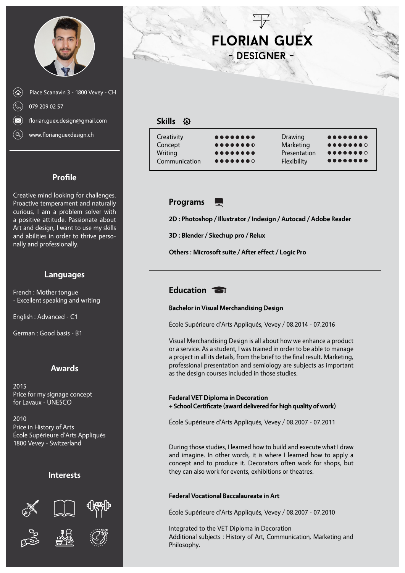



**Profile**

Creative mind looking for challenges. Proactive temperament and naturally curious, I am a problem solver with a positive attitude. Passionate about Art and design, I want to use my skills and abilities in order to thrive personally and professionally.

## **Languages**

French : Mother tongue - Excellent speaking and writing

English : Advanced - C1

German : Good basis - B1

## **Awards**

2015 Price for my signage concept for Lavaux - UNESCO

2010 Price in History of Arts École Supérieure d'Arts Appliqués 1800 Vevey - Switzerland

#### **Interests**









# **Florian Guex** - DESIGNER -

## **Skills**

| Creativity    | $0 0 0 0 0 0 0 0 0$                                        | Drawing      | $0 0 0 0 0 0 0 0 0$                                      |
|---------------|------------------------------------------------------------|--------------|----------------------------------------------------------|
| Concept       | $\bullet\bullet\bullet\bullet\bullet\bullet\bullet\bullet$ | Marketing    |                                                          |
| Writing       | $0 0 0 0 0 0 0 0 0$                                        | Presentation | $\bullet\bullet\bullet\bullet\bullet\bullet\bullet\circ$ |
| Communication | $\bullet\bullet\bullet\bullet\bullet\bullet\bullet\circ$   | Flexibility  | $0 0 0 0 0 0 0 0 0$                                      |
|               |                                                            |              |                                                          |

#### **Programs** 느

**2D : Photoshop / Illustrator / Indesign / Autocad / Adobe Reader**

**3D : Blender / Skechup pro / Relux**

**Others : Microsoft suite / After effect / Logic Pro**

## **Education**

#### **Bachelor in Visual Merchandising Design**

École Supérieure d'Arts Appliqués, Vevey / 08.2014 - 07.2016

Visual Merchandising Design is all about how we enhance a product or a service. As a student, I was trained in order to be able to manage a project in all its details, from the brief to the final result. Marketing, professional presentation and semiology are subjects as important as the design courses included in those studies.

#### **Federal VET Diploma in Decoration + School Certificate (award delivered for high quality of work)**

École Supérieure d'Arts Appliqués, Vevey / 08.2007 - 07.2011

During those studies, I learned how to build and execute what I draw and imagine. In other words, it is where I learned how to apply a concept and to produce it. Decorators often work for shops, but they can also work for events, exhibitions or theatres.

### **Federal Vocational Baccalaureate in Art**

École Supérieure d'Arts Appliqués, Vevey / 08.2007 - 07.2010

Integrated to the VET Diploma in Decoration Additional subjects : History of Art, Communication, Marketing and Philosophy.